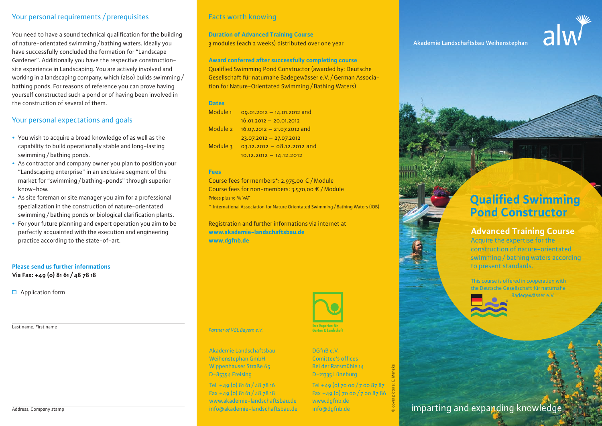## Your personal requirements / prerequisites

You need to have a sound technical qualification for the building of nature-orientated swimming / bathing waters. Ideally you have successfully concluded the formation for "Landscape Gardener". Additionally you have the respective constructionsite experience in Landscaping. You are actively involved and working in a landscaping company, which (also) builds swimming / bathing ponds. For reasons of reference you can prove having yourself constructed such a pond or of having been involved in the construction of several of them.

## Your personal expectations and goals

- You wish to acquire a broad knowledge of as well as the capability to build operationally stable and long-lasting swimming / bathing ponds.
- As contractor and company owner you plan to position your "Landscaping enterprise" in an exclusive segment of the market for "swimming / bathing-ponds" through superior know-how.
- **•** As site foreman or site manager you aim for a professional specialization in the construction of nature-orientated swimming / bathing ponds or biological clarification plants.
- **•** For your future planning and expert operation you aim to be perfectly acquainted with the execution and engineering practice according to the state-of-art.

#### **Please send us further informations**

**Via Fax: +49 (0) 81 61 / 48 78 18**

 $\Box$  Application form

Last name, First name



## Facts worth knowing

**Duration of Advanced Training Course** 3 modules (each 2 weeks) distributed over one year

**Award conferred after successfully completing course** Qualified Swimming Pond Constructor (awarded by: Deutsche Gesellschaft für naturnahe Badegewässer e.V. / German Association for Nature-Orientated Swimming / Bathing Waters)

#### **Dates**

| Module <sub>1</sub> | 09.01.2012 - 14.01.2012 and   |
|---------------------|-------------------------------|
|                     | $16.01.2012 - 20.01.2012$     |
| Module 2            | $16.07.2012 - 21.07.2012$ and |
|                     | $23.07.2012 - 27.07.2012$     |
| Module 3            | 03.12.2012 - 08.12.2012 and   |
|                     | $10.12.2012 - 14.12.2012$     |

#### **Fees**

Course fees for members\*: 2.975,00 € / Module Course fees for non-members: 3.570,00 € / Module Prices plus 19 % VAT

\* International Association for Nature Orientated Swimming / Bathing Waters (IOB)

Registration and further informations via internet at **www.akademie-landschaftsbau.de www.dgfnb.de**



*Partner of VGL Bayern e.V.*

Akademie Landschaftsbau Weihenstephan GmbH Wippenhauser Straße 65 D-85354 Freising

Tel  $+49$  (0)  $8161 / 48$  78 16 Fax +49 (o)  $8161/487818$ www.akademie-landschaftsbau.de info@akademie-landschaftsbau.de Garton<sup>'</sup> 8. Landscha

DGfnB e.V. Comittee's offices Bei der Ratsmühle 14 D-21335 Lüneburg

Tel +49 (0) 70 00 / 7 00 87 87 Fax +49 (0) 70 00 / 7 00 87 86 www.dgfnb.de info@dgfnb.de

© cover picture: G. Manzke

# **Qualified Swimming Pond Constructor**

# **Advanced Training Course**

Acquire the expertise for the construction of nature-orientated swimming / bathing waters according to present standards.

This course is offered in cooperation with the Deutsche Gesellschaft für naturnahe Badegewässer e.V.



imparting and expanding knowledge